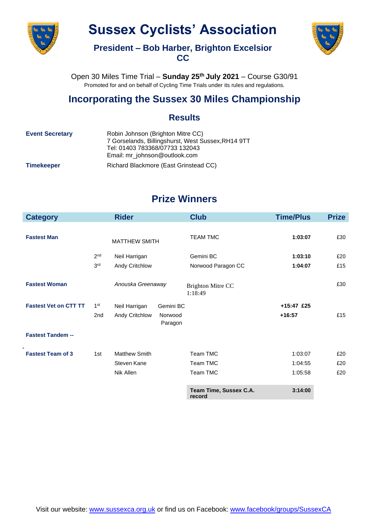

# **Sussex Cyclists' Association**



**President – Bob Harber, Brighton Excelsior CC**

Open 30 Miles Time Trial – **Sunday 25 th July 2021** – Course G30/91 Promoted for and on behalf of Cycling Time Trials under its rules and regulations.

### **Incorporating the Sussex 30 Miles Championship**

#### **Results**

| <b>Event Secretary</b> | Robin Johnson (Brighton Mitre CC)<br>7 Gorselands, Billingshurst, West Sussex, RH14 9TT<br>Tel: 01403 783368/07733 132043<br>Email: mr johnson@outlook.com |  |
|------------------------|------------------------------------------------------------------------------------------------------------------------------------------------------------|--|
| <b>Timekeeper</b>      | Richard Blackmore (East Grinstead CC)                                                                                                                      |  |

## **Prize Winners**

| <b>Category</b>              |                 | <b>Rider</b>         |                    | <b>Club</b>                         | <b>Time/Plus</b> | <b>Prize</b> |
|------------------------------|-----------------|----------------------|--------------------|-------------------------------------|------------------|--------------|
|                              |                 |                      |                    |                                     |                  |              |
| <b>Fastest Man</b>           |                 | <b>MATTHEW SMITH</b> |                    | <b>TEAM TMC</b>                     | 1:03:07          | £30          |
|                              | 2 <sub>nd</sub> | Neil Harrigan        |                    | Gemini BC                           | 1:03:10          | £20          |
|                              | 3 <sup>rd</sup> | Andy Critchlow       |                    | Norwood Paragon CC                  | 1:04:07          | £15          |
| <b>Fastest Woman</b>         |                 | Anouska Greenaway    |                    | <b>Brighton Mitre CC</b><br>1:18:49 |                  | £30          |
| <b>Fastest Vet on CTT TT</b> | 1 <sup>st</sup> | Neil Harrigan        | Gemini BC          |                                     | +15:47 £25       |              |
|                              | 2 <sub>nd</sub> | Andy Critchlow       | Norwood<br>Paragon |                                     | $+16:57$         | £15          |
| <b>Fastest Tandem --</b>     |                 |                      |                    |                                     |                  |              |
| <b>Fastest Team of 3</b>     | 1st             | <b>Matthew Smith</b> |                    | Team TMC                            | 1:03:07          | £20          |
|                              |                 | Steven Kane          |                    | Team TMC                            | 1:04:55          | £20          |
|                              |                 | Nik Allen            |                    | Team TMC                            | 1:05:58          | £20          |
|                              |                 |                      |                    | Team Time, Sussex C.A.<br>record    | 3:14:00          |              |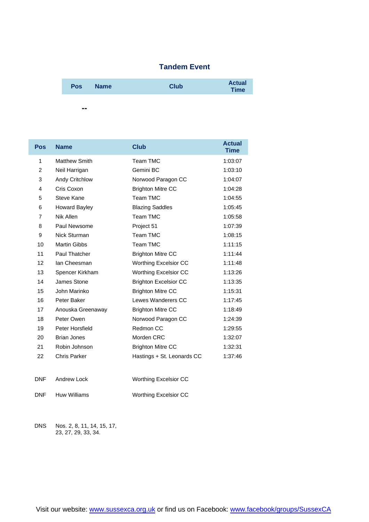#### **Tandem Event**

| <b>Pos</b> | <b>Name</b> | Club | <b>Actual</b><br><b>Time</b> |  |
|------------|-------------|------|------------------------------|--|
|            |             |      |                              |  |

| <b>Pos</b> | <b>Name</b>          | <b>Club</b>                  | <b>Actual</b><br><b>Time</b> |
|------------|----------------------|------------------------------|------------------------------|
| 1          | <b>Matthew Smith</b> | Team TMC                     | 1:03:07                      |
| 2          | Neil Harrigan        | Gemini BC                    | 1:03:10                      |
| 3          | Andy Critchlow       | Norwood Paragon CC           | 1:04:07                      |
| 4          | Cris Coxon           | <b>Brighton Mitre CC</b>     | 1:04:28                      |
| 5          | Steve Kane           | Team TMC                     | 1:04:55                      |
| 6          | <b>Howard Bayley</b> | <b>Blazing Saddles</b>       | 1:05:45                      |
| 7          | Nik Allen            | Team TMC                     | 1:05:58                      |
| 8          | Paul Newsome         | Project 51                   | 1:07:39                      |
| 9          | Nick Sturman         | <b>Team TMC</b>              | 1:08:15                      |
| 10         | <b>Martin Gibbs</b>  | Team TMC                     | 1:11:15                      |
| 11         | Paul Thatcher        | <b>Brighton Mitre CC</b>     | 1:11:44                      |
| 12         | lan Cheesman         | Worthing Excelsior CC        | 1:11:48                      |
| 13         | Spencer Kirkham      | Worthing Excelsior CC        | 1:13:26                      |
| 14         | James Stone          | <b>Brighton Excelsior CC</b> | 1:13:35                      |
| 15         | John Marinko         | <b>Brighton Mitre CC</b>     | 1:15:31                      |
| 16         | Peter Baker          | Lewes Wanderers CC           | 1:17:45                      |
| 17         | Anouska Greenaway    | <b>Brighton Mitre CC</b>     | 1:18:49                      |
| 18         | Peter Owen           | Norwood Paragon CC           | 1:24:39                      |
| 19         | Peter Horsfield      | Redmon CC                    | 1:29:55                      |
| 20         | <b>Brian Jones</b>   | Morden CRC                   | 1:32:07                      |
| 21         | Robin Johnson        | <b>Brighton Mitre CC</b>     | 1:32:31                      |
| 22         | <b>Chris Parker</b>  | Hastings + St. Leonards CC   | 1:37:46                      |
| <b>DNF</b> | Andrew Lock          | <b>Worthing Excelsior CC</b> |                              |

DNF Huw Williams Worthing Excelsior CC

DNS Nos. 2, 8, 11, 14, 15, 17, 23, 27, 29, 33, 34.

**--**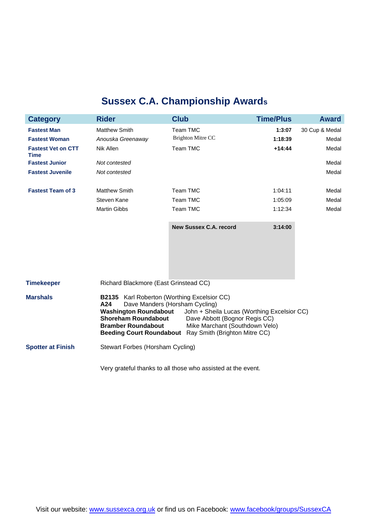## **Sussex C.A. Championship Awards**

| <b>Category</b>                          | <b>Rider</b>                                                                                                                                                                                                                                                                                                                                                          | <b>Club</b>                   | <b>Time/Plus</b> | <b>Award</b>   |  |
|------------------------------------------|-----------------------------------------------------------------------------------------------------------------------------------------------------------------------------------------------------------------------------------------------------------------------------------------------------------------------------------------------------------------------|-------------------------------|------------------|----------------|--|
| <b>Fastest Man</b>                       | <b>Matthew Smith</b>                                                                                                                                                                                                                                                                                                                                                  | <b>Team TMC</b>               | 1:3:07           | 30 Cup & Medal |  |
| <b>Fastest Woman</b>                     | Anouska Greenaway                                                                                                                                                                                                                                                                                                                                                     | <b>Brighton Mitre CC</b>      | 1:18:39          | Medal          |  |
| <b>Fastest Vet on CTT</b><br><b>Time</b> | Nik Allen                                                                                                                                                                                                                                                                                                                                                             | Team TMC                      | $+14:44$         | Medal          |  |
| <b>Fastest Junior</b>                    | Not contested                                                                                                                                                                                                                                                                                                                                                         |                               |                  | Medal          |  |
| <b>Fastest Juvenile</b>                  | Not contested                                                                                                                                                                                                                                                                                                                                                         |                               |                  | Medal          |  |
| <b>Fastest Team of 3</b>                 | Matthew Smith                                                                                                                                                                                                                                                                                                                                                         | Team TMC                      | 1:04:11          | Medal          |  |
|                                          | Steven Kane                                                                                                                                                                                                                                                                                                                                                           | Team TMC                      | 1:05:09          | Medal          |  |
|                                          | <b>Martin Gibbs</b>                                                                                                                                                                                                                                                                                                                                                   | Team TMC                      | 1:12:34          | Medal          |  |
|                                          |                                                                                                                                                                                                                                                                                                                                                                       | <b>New Sussex C.A. record</b> | 3:14:00          |                |  |
| <b>Timekeeper</b>                        | Richard Blackmore (East Grinstead CC)                                                                                                                                                                                                                                                                                                                                 |                               |                  |                |  |
| <b>Marshals</b>                          | Karl Roberton (Worthing Excelsior CC)<br><b>B2135</b><br>Dave Manders (Horsham Cycling)<br>A24<br><b>Washington Roundabout</b><br>John + Sheila Lucas (Worthing Excelsior CC)<br><b>Shoreham Roundabout</b><br>Dave Abbott (Bognor Regis CC)<br><b>Bramber Roundabout</b><br>Mike Marchant (Southdown Velo)<br>Beeding Court Roundabout Ray Smith (Brighton Mitre CC) |                               |                  |                |  |
| <b>Spotter at Finish</b>                 | Stewart Forbes (Horsham Cycling)                                                                                                                                                                                                                                                                                                                                      |                               |                  |                |  |

Very grateful thanks to all those who assisted at the event.